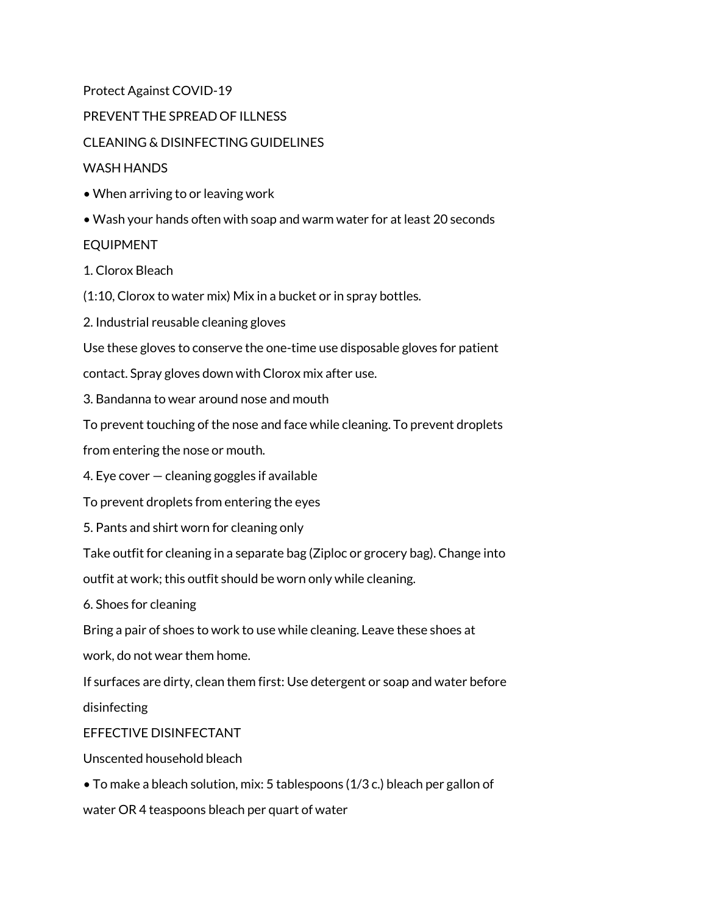Protect Against COVID-19

PREVENT THE SPREAD OF ILLNESS

CLEANING & DISINFECTING GUIDELINES

#### WASH HANDS

- When arriving to or leaving work
- Wash your hands often with soap and warm water for at least 20 seconds

#### EQUIPMENT

1. Clorox Bleach

(1:10, Clorox to water mix) Mix in a bucket or in spray bottles.

2. Industrial reusable cleaning gloves

Use these gloves to conserve the one-time use disposable gloves for patient

contact. Spray gloves down with Clorox mix after use.

3. Bandanna to wear around nose and mouth

To prevent touching of the nose and face while cleaning. To prevent droplets

from entering the nose or mouth.

4. Eye cover — cleaning goggles if available

To prevent droplets from entering the eyes

5. Pants and shirt worn for cleaning only

Take outfit for cleaning in a separate bag (Ziploc or grocery bag). Change into

outfit at work; this outfit should be worn only while cleaning.

6. Shoes for cleaning

Bring a pair of shoes to work to use while cleaning. Leave these shoes at

work, do not wear them home.

If surfaces are dirty, clean them first: Use detergent or soap and water before

disinfecting

### EFFECTIVE DISINFECTANT

Unscented household bleach

• To make a bleach solution, mix: 5 tablespoons (1/3 c.) bleach per gallon of

water OR 4 teaspoons bleach per quart of water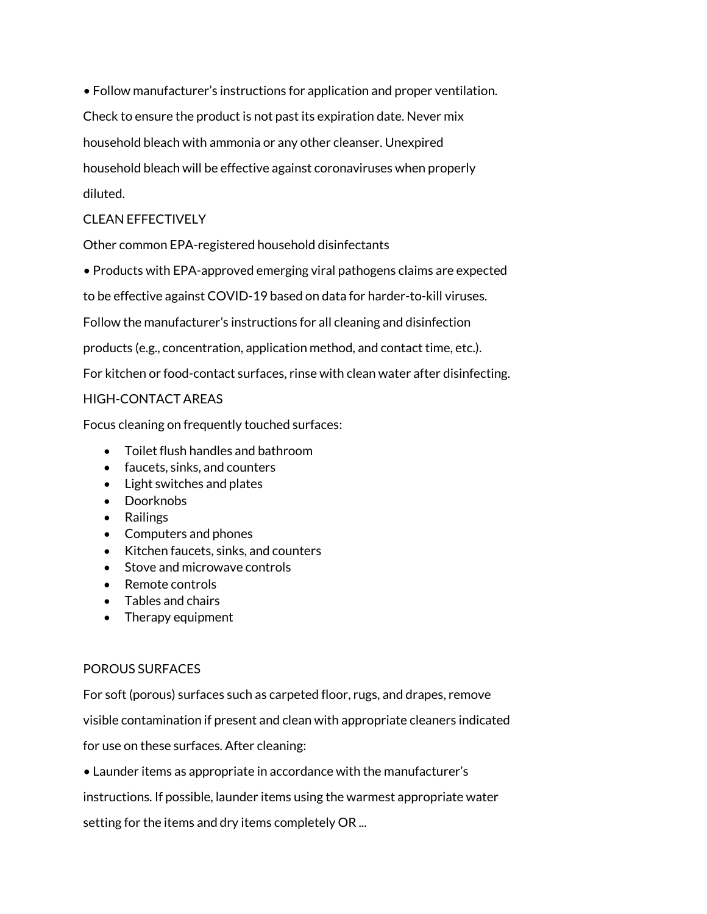• Follow manufacturer's instructions for application and proper ventilation. Check to ensure the product is not past its expiration date. Never mix household bleach with ammonia or any other cleanser. Unexpired household bleach will be effective against coronaviruses when properly diluted.

# CLEAN EFFECTIVELY

Other common EPA-registered household disinfectants

• Products with EPA-approved emerging viral pathogens claims are expected

to be effective against COVID-19 based on data for harder-to-kill viruses.

Follow the manufacturer's instructions for all cleaning and disinfection

products (e.g., concentration, application method, and contact time, etc.).

For kitchen or food-contact surfaces, rinse with clean water after disinfecting.

### HIGH-CONTACT AREAS

Focus cleaning on frequently touched surfaces:

- Toilet flush handles and bathroom
- faucets, sinks, and counters
- Light switches and plates
- Doorknobs
- Railings
- Computers and phones
- Kitchen faucets, sinks, and counters
- Stove and microwave controls
- Remote controls
- Tables and chairs
- Therapy equipment

# POROUS SURFACES

For soft (porous) surfaces such as carpeted floor, rugs, and drapes, remove visible contamination if present and clean with appropriate cleaners indicated for use on these surfaces. After cleaning:

• Launder items as appropriate in accordance with the manufacturer's

instructions. If possible, launder items using the warmest appropriate water

setting for the items and dry items completely OR ...